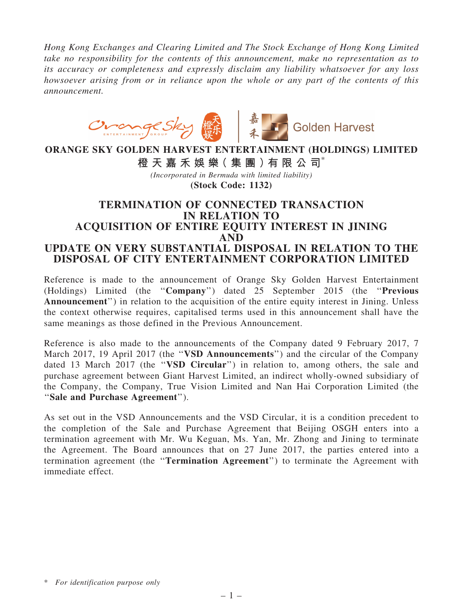*Hong Kong Exchanges and Clearing Limited and The Stock Exchange of Hong Kong Limited take no responsibility for the contents of this announcement, make no representation as to its accuracy or completeness and expressly disclaim any liability whatsoever for any loss howsoever arising from or in reliance upon the whole or any part of the contents of this announcement.*



## ORANGE SKY GOLDEN HARVEST ENTERTAINMENT (HOLDINGS) LIMITED

橙 天 嘉 禾 娛 樂 (集 團 ) 有 限 公 司 $^*$ 

*(Incorporated in Bermuda with limited liability)* (Stock Code: 1132)

## TERMINATION OF CONNECTED TRANSACTION IN RELATION TO ACQUISITION OF ENTIRE EQUITY INTEREST IN JINING AND UPDATE ON VERY SUBSTANTIAL DISPOSAL IN RELATION TO THE DISPOSAL OF CITY ENTERTAINMENT CORPORATION LIMITED

Reference is made to the announcement of Orange Sky Golden Harvest Entertainment (Holdings) Limited (the ''Company'') dated 25 September 2015 (the ''Previous Announcement") in relation to the acquisition of the entire equity interest in Jining. Unless the context otherwise requires, capitalised terms used in this announcement shall have the same meanings as those defined in the Previous Announcement.

Reference is also made to the announcements of the Company dated 9 February 2017, 7 March 2017, 19 April 2017 (the "VSD Announcements") and the circular of the Company dated 13 March 2017 (the "VSD Circular") in relation to, among others, the sale and purchase agreement between Giant Harvest Limited, an indirect wholly-owned subsidiary of the Company, the Company, True Vision Limited and Nan Hai Corporation Limited (the ''Sale and Purchase Agreement'').

As set out in the VSD Announcements and the VSD Circular, it is a condition precedent to the completion of the Sale and Purchase Agreement that Beijing OSGH enters into a termination agreement with Mr. Wu Keguan, Ms. Yan, Mr. Zhong and Jining to terminate the Agreement. The Board announces that on 27 June 2017, the parties entered into a termination agreement (the ''Termination Agreement'') to terminate the Agreement with immediate effect.

<sup>\*</sup> *For identification purpose only*